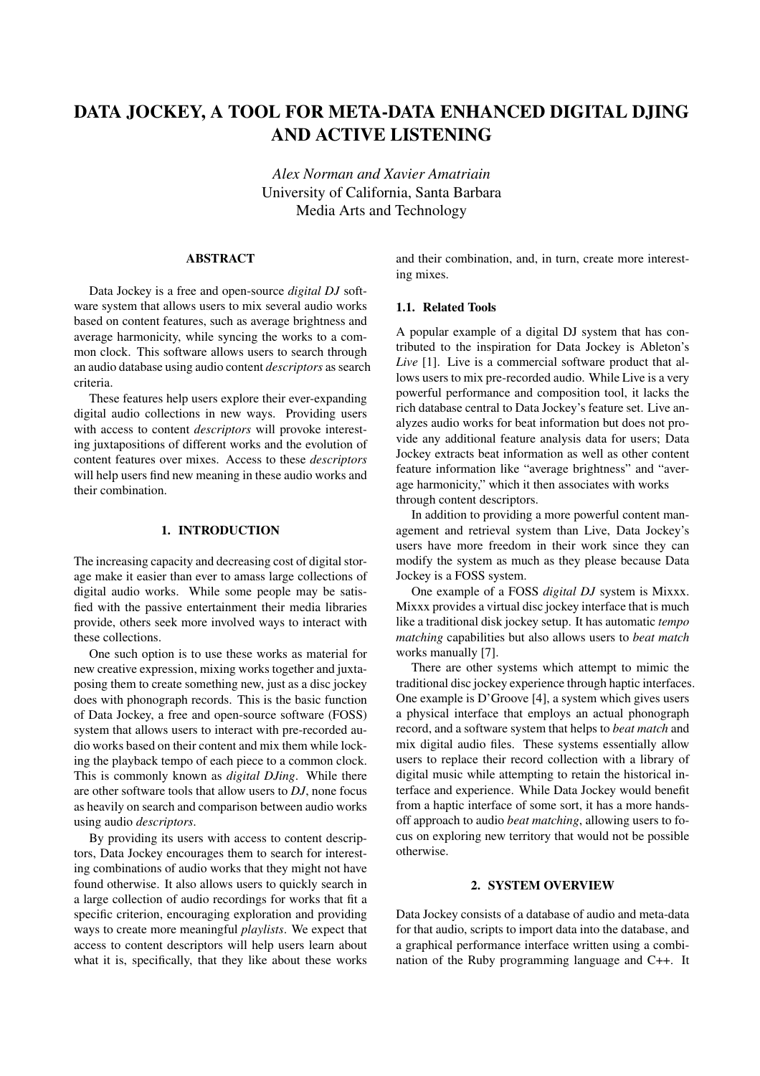# DATA JOCKEY, A TOOL FOR META-DATA ENHANCED DIGITAL DJING AND ACTIVE LISTENING

*Alex Norman and Xavier Amatriain* University of California, Santa Barbara Media Arts and Technology

# ABSTRACT

Data Jockey is a free and open-source *digital DJ* software system that allows users to mix several audio works based on content features, such as average brightness and average harmonicity, while syncing the works to a common clock. This software allows users to search through an audio database using audio content *descriptors* as search criteria.

These features help users explore their ever-expanding digital audio collections in new ways. Providing users with access to content *descriptors* will provoke interesting juxtapositions of different works and the evolution of content features over mixes. Access to these *descriptors* will help users find new meaning in these audio works and their combination.

#### 1. INTRODUCTION

The increasing capacity and decreasing cost of digital storage make it easier than ever to amass large collections of digital audio works. While some people may be satisfied with the passive entertainment their media libraries provide, others seek more involved ways to interact with these collections.

One such option is to use these works as material for new creative expression, mixing works together and juxtaposing them to create something new, just as a disc jockey does with phonograph records. This is the basic function of Data Jockey, a free and open-source software (FOSS) system that allows users to interact with pre-recorded audio works based on their content and mix them while locking the playback tempo of each piece to a common clock. This is commonly known as *digital DJing*. While there are other software tools that allow users to *DJ*, none focus as heavily on search and comparison between audio works using audio *descriptors*.

By providing its users with access to content descriptors, Data Jockey encourages them to search for interesting combinations of audio works that they might not have found otherwise. It also allows users to quickly search in a large collection of audio recordings for works that fit a specific criterion, encouraging exploration and providing ways to create more meaningful *playlists*. We expect that access to content descriptors will help users learn about what it is, specifically, that they like about these works

and their combination, and, in turn, create more interesting mixes.

#### 1.1. Related Tools

A popular example of a digital DJ system that has contributed to the inspiration for Data Jockey is Ableton's *Live* [1]. Live is a commercial software product that allows users to mix pre-recorded audio. While Live is a very powerful performance and composition tool, it lacks the rich database central to Data Jockey's feature set. Live analyzes audio works for beat information but does not provide any additional feature analysis data for users; Data Jockey extracts beat information as well as other content feature information like "average brightness" and "average harmonicity," which it then associates with works through content descriptors.

In addition to providing a more powerful content management and retrieval system than Live, Data Jockey's users have more freedom in their work since they can modify the system as much as they please because Data Jockey is a FOSS system.

One example of a FOSS *digital DJ* system is Mixxx. Mixxx provides a virtual disc jockey interface that is much like a traditional disk jockey setup. It has automatic *tempo matching* capabilities but also allows users to *beat match* works manually [7].

There are other systems which attempt to mimic the traditional disc jockey experience through haptic interfaces. One example is D'Groove [4], a system which gives users a physical interface that employs an actual phonograph record, and a software system that helps to *beat match* and mix digital audio files. These systems essentially allow users to replace their record collection with a library of digital music while attempting to retain the historical interface and experience. While Data Jockey would benefit from a haptic interface of some sort, it has a more handsoff approach to audio *beat matching*, allowing users to focus on exploring new territory that would not be possible otherwise.

#### 2. SYSTEM OVERVIEW

Data Jockey consists of a database of audio and meta-data for that audio, scripts to import data into the database, and a graphical performance interface written using a combination of the Ruby programming language and C++. It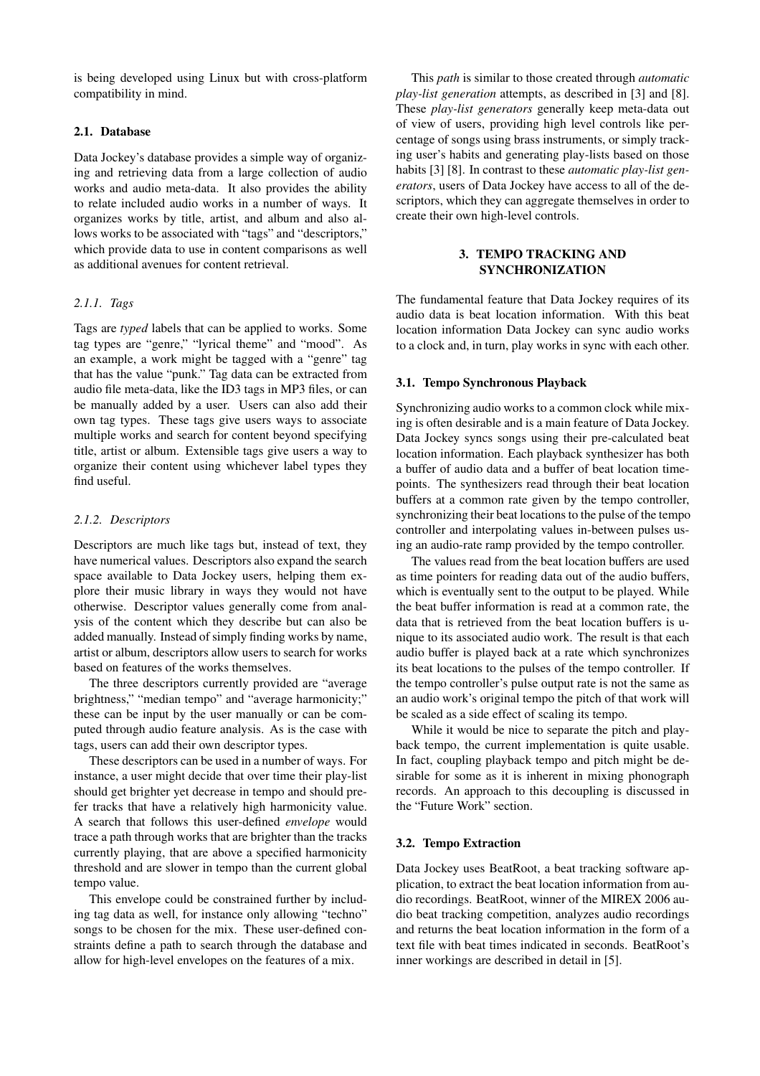is being developed using Linux but with cross-platform compatibility in mind.

#### 2.1. Database

Data Jockey's database provides a simple way of organizing and retrieving data from a large collection of audio works and audio meta-data. It also provides the ability to relate included audio works in a number of ways. It organizes works by title, artist, and album and also allows works to be associated with "tags" and "descriptors," which provide data to use in content comparisons as well as additional avenues for content retrieval.

# *2.1.1. Tags*

Tags are *typed* labels that can be applied to works. Some tag types are "genre," "lyrical theme" and "mood". As an example, a work might be tagged with a "genre" tag that has the value "punk." Tag data can be extracted from audio file meta-data, like the ID3 tags in MP3 files, or can be manually added by a user. Users can also add their own tag types. These tags give users ways to associate multiple works and search for content beyond specifying title, artist or album. Extensible tags give users a way to organize their content using whichever label types they find useful.

#### *2.1.2. Descriptors*

Descriptors are much like tags but, instead of text, they have numerical values. Descriptors also expand the search space available to Data Jockey users, helping them explore their music library in ways they would not have otherwise. Descriptor values generally come from analysis of the content which they describe but can also be added manually. Instead of simply finding works by name, artist or album, descriptors allow users to search for works based on features of the works themselves.

The three descriptors currently provided are "average brightness," "median tempo" and "average harmonicity;" these can be input by the user manually or can be computed through audio feature analysis. As is the case with tags, users can add their own descriptor types.

These descriptors can be used in a number of ways. For instance, a user might decide that over time their play-list should get brighter yet decrease in tempo and should prefer tracks that have a relatively high harmonicity value. A search that follows this user-defined *envelope* would trace a path through works that are brighter than the tracks currently playing, that are above a specified harmonicity threshold and are slower in tempo than the current global tempo value.

This envelope could be constrained further by including tag data as well, for instance only allowing "techno" songs to be chosen for the mix. These user-defined constraints define a path to search through the database and allow for high-level envelopes on the features of a mix.

This *path* is similar to those created through *automatic play-list generation* attempts, as described in [3] and [8]. These *play-list generators* generally keep meta-data out of view of users, providing high level controls like percentage of songs using brass instruments, or simply tracking user's habits and generating play-lists based on those habits [3] [8]. In contrast to these *automatic play-list generators*, users of Data Jockey have access to all of the descriptors, which they can aggregate themselves in order to create their own high-level controls.

## 3. TEMPO TRACKING AND SYNCHRONIZATION

The fundamental feature that Data Jockey requires of its audio data is beat location information. With this beat location information Data Jockey can sync audio works to a clock and, in turn, play works in sync with each other.

## 3.1. Tempo Synchronous Playback

Synchronizing audio works to a common clock while mixing is often desirable and is a main feature of Data Jockey. Data Jockey syncs songs using their pre-calculated beat location information. Each playback synthesizer has both a buffer of audio data and a buffer of beat location timepoints. The synthesizers read through their beat location buffers at a common rate given by the tempo controller, synchronizing their beat locations to the pulse of the tempo controller and interpolating values in-between pulses using an audio-rate ramp provided by the tempo controller.

The values read from the beat location buffers are used as time pointers for reading data out of the audio buffers, which is eventually sent to the output to be played. While the beat buffer information is read at a common rate, the data that is retrieved from the beat location buffers is unique to its associated audio work. The result is that each audio buffer is played back at a rate which synchronizes its beat locations to the pulses of the tempo controller. If the tempo controller's pulse output rate is not the same as an audio work's original tempo the pitch of that work will be scaled as a side effect of scaling its tempo.

While it would be nice to separate the pitch and playback tempo, the current implementation is quite usable. In fact, coupling playback tempo and pitch might be desirable for some as it is inherent in mixing phonograph records. An approach to this decoupling is discussed in the "Future Work" section.

#### 3.2. Tempo Extraction

Data Jockey uses BeatRoot, a beat tracking software application, to extract the beat location information from audio recordings. BeatRoot, winner of the MIREX 2006 audio beat tracking competition, analyzes audio recordings and returns the beat location information in the form of a text file with beat times indicated in seconds. BeatRoot's inner workings are described in detail in [5].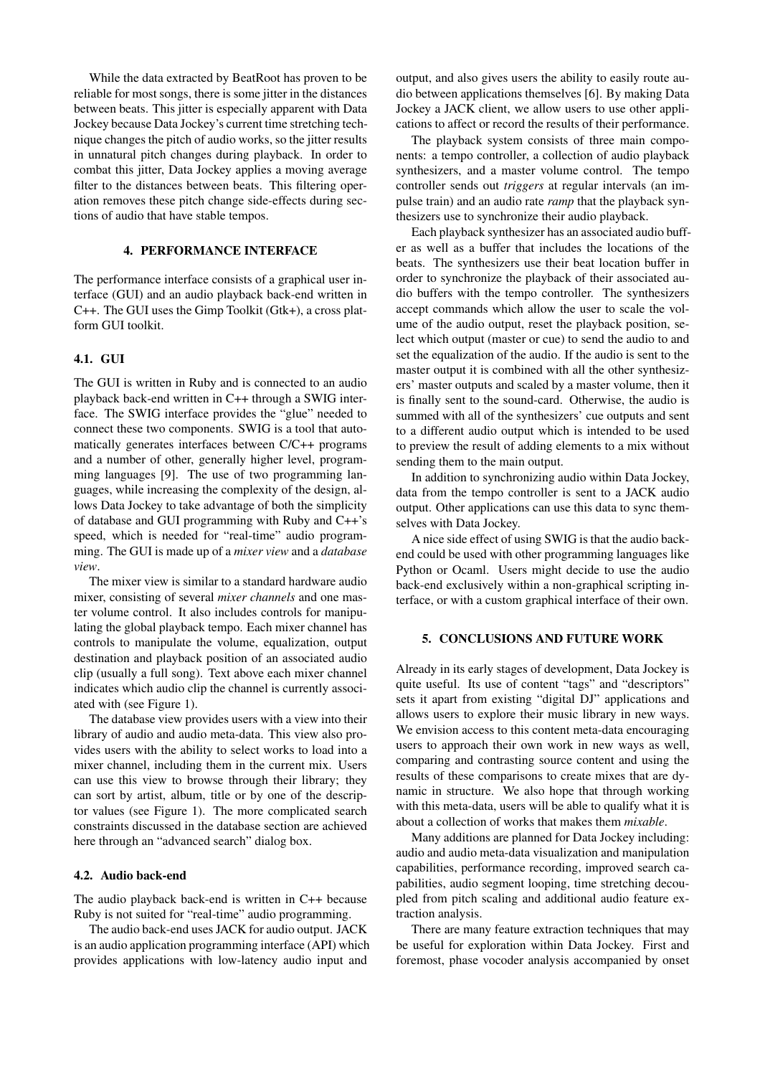While the data extracted by BeatRoot has proven to be reliable for most songs, there is some jitter in the distances between beats. This jitter is especially apparent with Data Jockey because Data Jockey's current time stretching technique changes the pitch of audio works, so the jitter results in unnatural pitch changes during playback. In order to combat this jitter, Data Jockey applies a moving average filter to the distances between beats. This filtering operation removes these pitch change side-effects during sections of audio that have stable tempos.

#### 4. PERFORMANCE INTERFACE

The performance interface consists of a graphical user interface (GUI) and an audio playback back-end written in C++. The GUI uses the Gimp Toolkit (Gtk+), a cross platform GUI toolkit.

# 4.1. GUI

The GUI is written in Ruby and is connected to an audio playback back-end written in C++ through a SWIG interface. The SWIG interface provides the "glue" needed to connect these two components. SWIG is a tool that automatically generates interfaces between C/C++ programs and a number of other, generally higher level, programming languages [9]. The use of two programming languages, while increasing the complexity of the design, allows Data Jockey to take advantage of both the simplicity of database and GUI programming with Ruby and C++'s speed, which is needed for "real-time" audio programming. The GUI is made up of a *mixer view* and a *database view*.

The mixer view is similar to a standard hardware audio mixer, consisting of several *mixer channels* and one master volume control. It also includes controls for manipulating the global playback tempo. Each mixer channel has controls to manipulate the volume, equalization, output destination and playback position of an associated audio clip (usually a full song). Text above each mixer channel indicates which audio clip the channel is currently associated with (see Figure 1).

The database view provides users with a view into their library of audio and audio meta-data. This view also provides users with the ability to select works to load into a mixer channel, including them in the current mix. Users can use this view to browse through their library; they can sort by artist, album, title or by one of the descriptor values (see Figure 1). The more complicated search constraints discussed in the database section are achieved here through an "advanced search" dialog box.

# 4.2. Audio back-end

The audio playback back-end is written in C++ because Ruby is not suited for "real-time" audio programming.

The audio back-end uses JACK for audio output. JACK is an audio application programming interface (API) which provides applications with low-latency audio input and

output, and also gives users the ability to easily route audio between applications themselves [6]. By making Data Jockey a JACK client, we allow users to use other applications to affect or record the results of their performance.

The playback system consists of three main components: a tempo controller, a collection of audio playback synthesizers, and a master volume control. The tempo controller sends out *triggers* at regular intervals (an impulse train) and an audio rate *ramp* that the playback synthesizers use to synchronize their audio playback.

Each playback synthesizer has an associated audio buffer as well as a buffer that includes the locations of the beats. The synthesizers use their beat location buffer in order to synchronize the playback of their associated audio buffers with the tempo controller. The synthesizers accept commands which allow the user to scale the volume of the audio output, reset the playback position, select which output (master or cue) to send the audio to and set the equalization of the audio. If the audio is sent to the master output it is combined with all the other synthesizers' master outputs and scaled by a master volume, then it is finally sent to the sound-card. Otherwise, the audio is summed with all of the synthesizers' cue outputs and sent to a different audio output which is intended to be used to preview the result of adding elements to a mix without sending them to the main output.

In addition to synchronizing audio within Data Jockey, data from the tempo controller is sent to a JACK audio output. Other applications can use this data to sync themselves with Data Jockey.

A nice side effect of using SWIG is that the audio backend could be used with other programming languages like Python or Ocaml. Users might decide to use the audio back-end exclusively within a non-graphical scripting interface, or with a custom graphical interface of their own.

## 5. CONCLUSIONS AND FUTURE WORK

Already in its early stages of development, Data Jockey is quite useful. Its use of content "tags" and "descriptors" sets it apart from existing "digital DJ" applications and allows users to explore their music library in new ways. We envision access to this content meta-data encouraging users to approach their own work in new ways as well, comparing and contrasting source content and using the results of these comparisons to create mixes that are dynamic in structure. We also hope that through working with this meta-data, users will be able to qualify what it is about a collection of works that makes them *mixable*.

Many additions are planned for Data Jockey including: audio and audio meta-data visualization and manipulation capabilities, performance recording, improved search capabilities, audio segment looping, time stretching decoupled from pitch scaling and additional audio feature extraction analysis.

There are many feature extraction techniques that may be useful for exploration within Data Jockey. First and foremost, phase vocoder analysis accompanied by onset